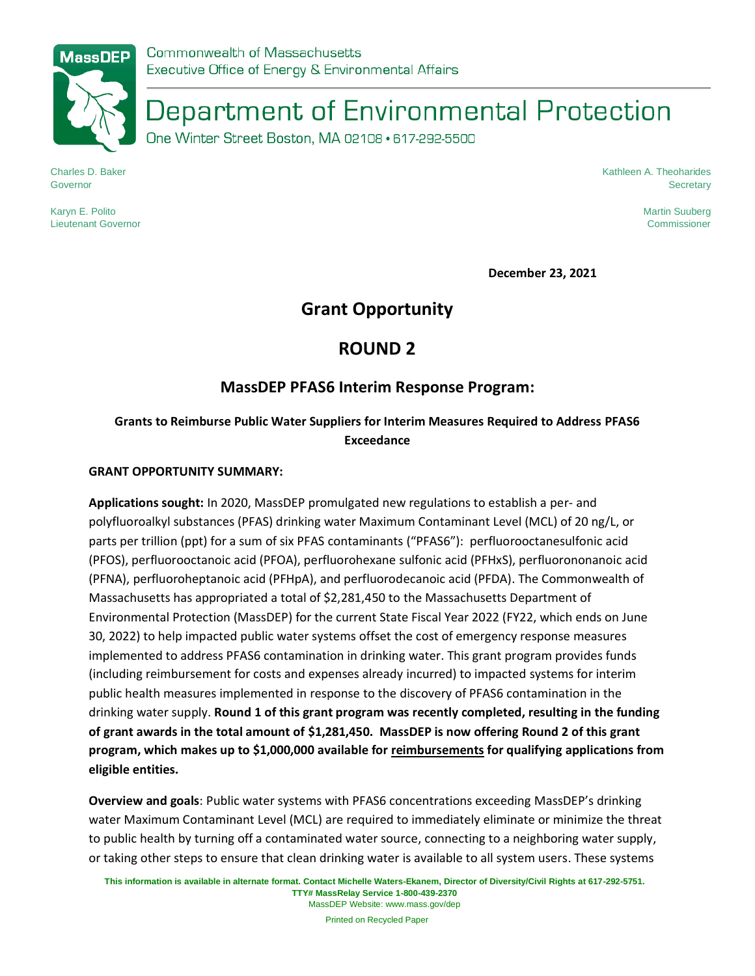# Department of Environmental Protection

One Winter Street Boston, MA 02108 · 617-292-5500

Charles D. Baker Governor

Kathleen A. Theoharides **Secretary** 

Karyn E. Polito Lieutenant Governor Martin Suuberg Commissioner

**December 23, 2021**

# **Grant Opportunity**

# **ROUND 2**

# **MassDEP PFAS6 Interim Response Program:**

## **Grants to Reimburse Public Water Suppliers for Interim Measures Required to Address PFAS6 Exceedance**

#### **GRANT OPPORTUNITY SUMMARY:**

**Applications sought:** In 2020, MassDEP promulgated new regulations to establish a per- and polyfluoroalkyl substances (PFAS) drinking water Maximum Contaminant Level (MCL) of 20 ng/L, or parts per trillion (ppt) for a sum of six PFAS contaminants ("PFAS6"): perfluorooctanesulfonic acid (PFOS), perfluorooctanoic acid (PFOA), perfluorohexane sulfonic acid (PFHxS), perfluorononanoic acid (PFNA), perfluoroheptanoic acid (PFHpA), and perfluorodecanoic acid (PFDA). The Commonwealth of Massachusetts has appropriated a total of \$2,281,450 to the Massachusetts Department of Environmental Protection (MassDEP) for the current State Fiscal Year 2022 (FY22, which ends on June 30, 2022) to help impacted public water systems offset the cost of emergency response measures implemented to address PFAS6 contamination in drinking water. This grant program provides funds (including reimbursement for costs and expenses already incurred) to impacted systems for interim public health measures implemented in response to the discovery of PFAS6 contamination in the drinking water supply. **Round 1 of this grant program was recently completed, resulting in the funding of grant awards in the total amount of \$1,281,450. MassDEP is now offering Round 2 of this grant program, which makes up to \$1,000,000 available for reimbursements for qualifying applications from eligible entities.**

**Overview and goals**: Public water systems with PFAS6 concentrations exceeding MassDEP's drinking water Maximum Contaminant Level (MCL) are required to immediately eliminate or minimize the threat to public health by turning off a contaminated water source, connecting to a neighboring water supply, or taking other steps to ensure that clean drinking water is available to all system users. These systems

MassDEP Website: www.mass.gov/dep Printed on Recycled Paper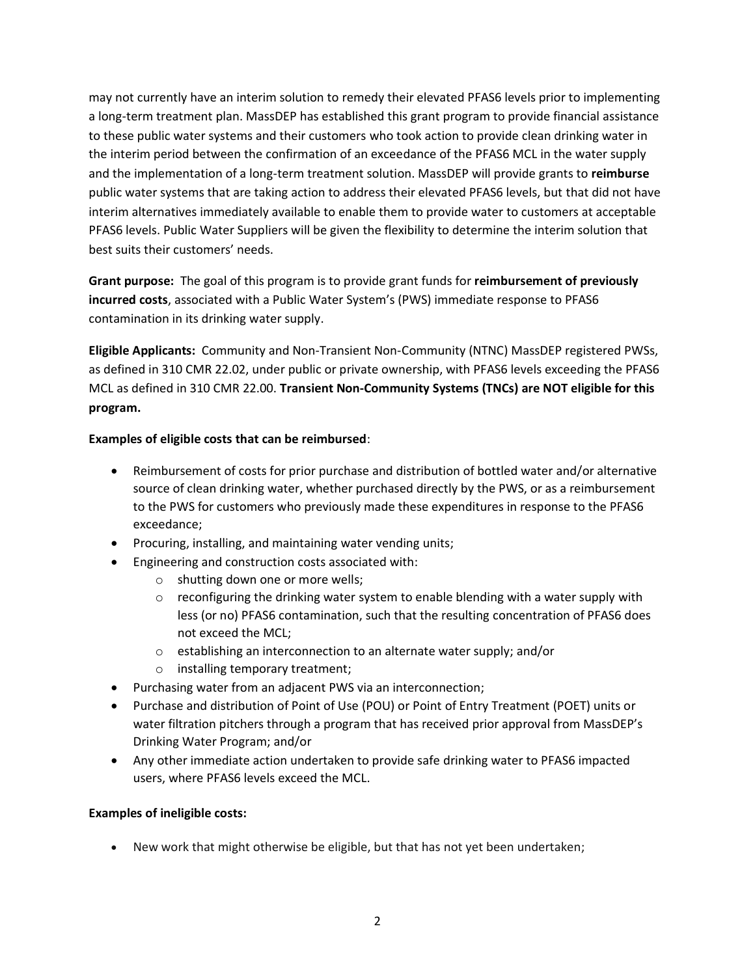may not currently have an interim solution to remedy their elevated PFAS6 levels prior to implementing a long-term treatment plan. MassDEP has established this grant program to provide financial assistance to these public water systems and their customers who took action to provide clean drinking water in the interim period between the confirmation of an exceedance of the PFAS6 MCL in the water supply and the implementation of a long-term treatment solution. MassDEP will provide grants to **reimburse**  public water systems that are taking action to address their elevated PFAS6 levels, but that did not have interim alternatives immediately available to enable them to provide water to customers at acceptable PFAS6 levels. Public Water Suppliers will be given the flexibility to determine the interim solution that best suits their customers' needs.

**Grant purpose:** The goal of this program is to provide grant funds for **reimbursement of previously incurred costs**, associated with a Public Water System's (PWS) immediate response to PFAS6 contamination in its drinking water supply.

**Eligible Applicants:** Community and Non-Transient Non-Community (NTNC) MassDEP registered PWSs, as defined in 310 CMR 22.02, under public or private ownership, with PFAS6 levels exceeding the PFAS6 MCL as defined in 310 CMR 22.00. **Transient Non-Community Systems (TNCs) are NOT eligible for this program.**

#### **Examples of eligible costs that can be reimbursed**:

- Reimbursement of costs for prior purchase and distribution of bottled water and/or alternative source of clean drinking water, whether purchased directly by the PWS, or as a reimbursement to the PWS for customers who previously made these expenditures in response to the PFAS6 exceedance;
- Procuring, installing, and maintaining water vending units;
- Engineering and construction costs associated with:
	- o shutting down one or more wells;
	- $\circ$  reconfiguring the drinking water system to enable blending with a water supply with less (or no) PFAS6 contamination, such that the resulting concentration of PFAS6 does not exceed the MCL;
	- o establishing an interconnection to an alternate water supply; and/or
	- o installing temporary treatment;
- Purchasing water from an adjacent PWS via an interconnection;
- Purchase and distribution of Point of Use (POU) or Point of Entry Treatment (POET) units or water filtration pitchers through a program that has received prior approval from MassDEP's Drinking Water Program; and/or
- Any other immediate action undertaken to provide safe drinking water to PFAS6 impacted users, where PFAS6 levels exceed the MCL.

#### **Examples of ineligible costs:**

• New work that might otherwise be eligible, but that has not yet been undertaken;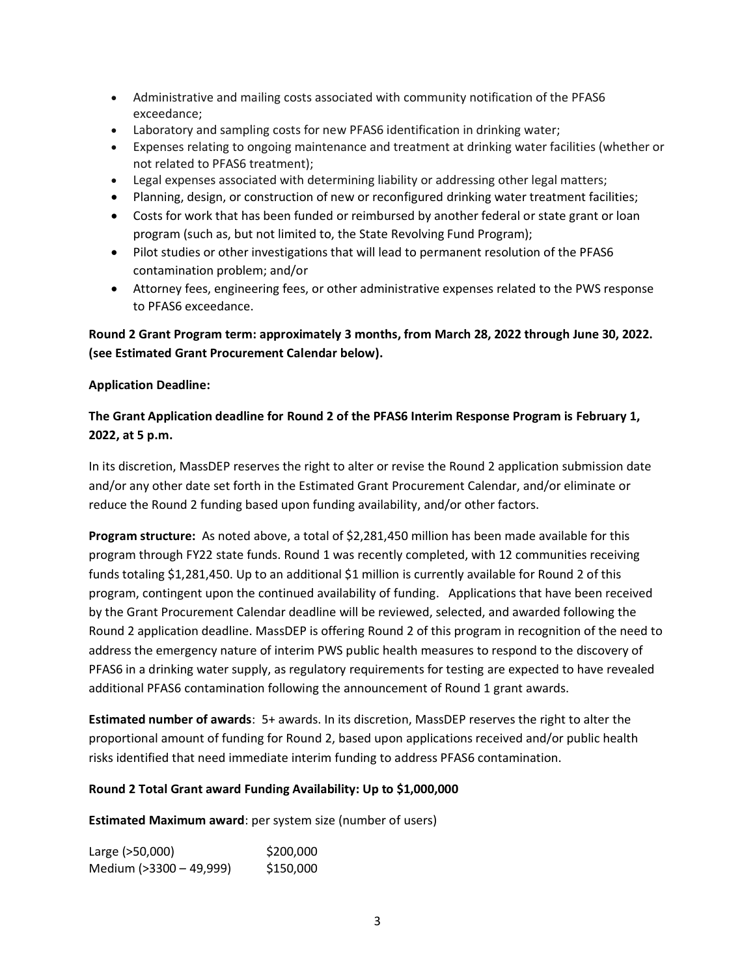- Administrative and mailing costs associated with community notification of the PFAS6 exceedance;
- Laboratory and sampling costs for new PFAS6 identification in drinking water;
- Expenses relating to ongoing maintenance and treatment at drinking water facilities (whether or not related to PFAS6 treatment);
- Legal expenses associated with determining liability or addressing other legal matters;
- Planning, design, or construction of new or reconfigured drinking water treatment facilities;
- Costs for work that has been funded or reimbursed by another federal or state grant or loan program (such as, but not limited to, the State Revolving Fund Program);
- Pilot studies or other investigations that will lead to permanent resolution of the PFAS6 contamination problem; and/or
- Attorney fees, engineering fees, or other administrative expenses related to the PWS response to PFAS6 exceedance.

### **Round 2 Grant Program term: approximately 3 months, from March 28, 2022 through June 30, 2022. (see Estimated Grant Procurement Calendar below).**

#### **Application Deadline:**

### **The Grant Application deadline for Round 2 of the PFAS6 Interim Response Program is February 1, 2022, at 5 p.m.**

In its discretion, MassDEP reserves the right to alter or revise the Round 2 application submission date and/or any other date set forth in the Estimated Grant Procurement Calendar, and/or eliminate or reduce the Round 2 funding based upon funding availability, and/or other factors.

**Program structure:** As noted above, a total of \$2,281,450 million has been made available for this program through FY22 state funds. Round 1 was recently completed, with 12 communities receiving funds totaling \$1,281,450. Up to an additional \$1 million is currently available for Round 2 of this program, contingent upon the continued availability of funding. Applications that have been received by the Grant Procurement Calendar deadline will be reviewed, selected, and awarded following the Round 2 application deadline. MassDEP is offering Round 2 of this program in recognition of the need to address the emergency nature of interim PWS public health measures to respond to the discovery of PFAS6 in a drinking water supply, as regulatory requirements for testing are expected to have revealed additional PFAS6 contamination following the announcement of Round 1 grant awards.

**Estimated number of awards**: 5+ awards. In its discretion, MassDEP reserves the right to alter the proportional amount of funding for Round 2, based upon applications received and/or public health risks identified that need immediate interim funding to address PFAS6 contamination.

#### **Round 2 Total Grant award Funding Availability: Up to \$1,000,000**

**Estimated Maximum award**: per system size (number of users)

Large (>50,000) \$200,000 Medium (>3300 - 49,999) \$150,000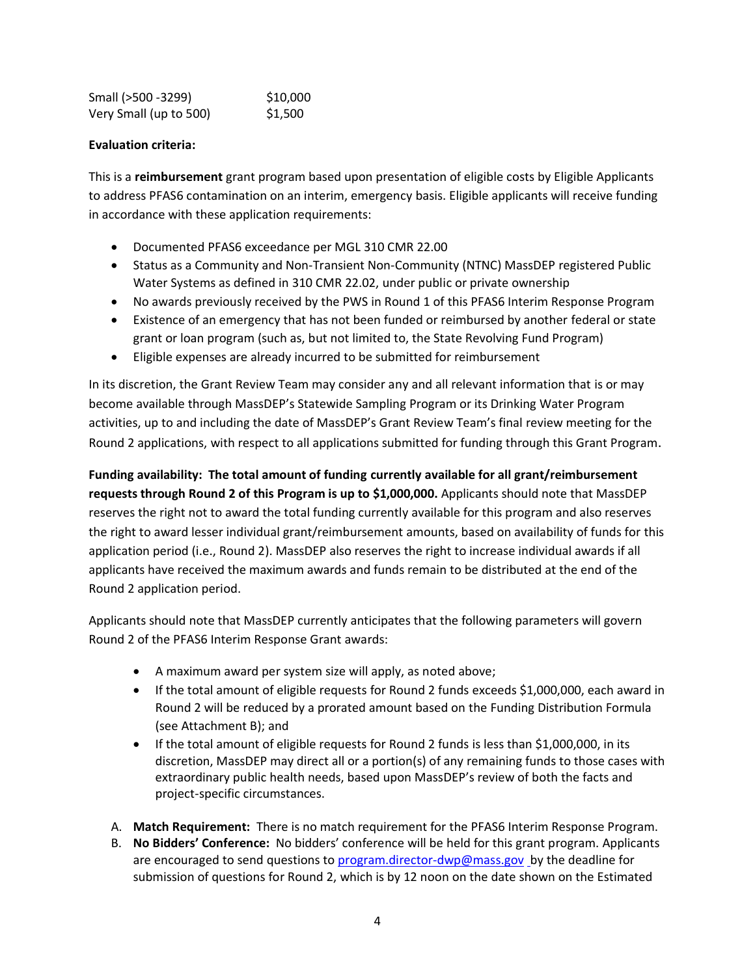| Small (>500 -3299)     | \$10,000 |
|------------------------|----------|
| Very Small (up to 500) | \$1,500  |

#### **Evaluation criteria:**

This is a **reimbursement** grant program based upon presentation of eligible costs by Eligible Applicants to address PFAS6 contamination on an interim, emergency basis. Eligible applicants will receive funding in accordance with these application requirements:

- Documented PFAS6 exceedance per MGL 310 CMR 22.00
- Status as a Community and Non-Transient Non-Community (NTNC) MassDEP registered Public Water Systems as defined in 310 CMR 22.02, under public or private ownership
- No awards previously received by the PWS in Round 1 of this PFAS6 Interim Response Program
- Existence of an emergency that has not been funded or reimbursed by another federal or state grant or loan program (such as, but not limited to, the State Revolving Fund Program)
- Eligible expenses are already incurred to be submitted for reimbursement

In its discretion, the Grant Review Team may consider any and all relevant information that is or may become available through MassDEP's Statewide Sampling Program or its Drinking Water Program activities, up to and including the date of MassDEP's Grant Review Team's final review meeting for the Round 2 applications, with respect to all applications submitted for funding through this Grant Program.

**Funding availability: The total amount of funding currently available for all grant/reimbursement requests through Round 2 of this Program is up to \$1,000,000.** Applicants should note that MassDEP reserves the right not to award the total funding currently available for this program and also reserves the right to award lesser individual grant/reimbursement amounts, based on availability of funds for this application period (i.e., Round 2). MassDEP also reserves the right to increase individual awards if all applicants have received the maximum awards and funds remain to be distributed at the end of the Round 2 application period.

Applicants should note that MassDEP currently anticipates that the following parameters will govern Round 2 of the PFAS6 Interim Response Grant awards:

- A maximum award per system size will apply, as noted above;
- If the total amount of eligible requests for Round 2 funds exceeds \$1,000,000, each award in Round 2 will be reduced by a prorated amount based on the Funding Distribution Formula (see Attachment B); and
- If the total amount of eligible requests for Round 2 funds is less than \$1,000,000, in its discretion, MassDEP may direct all or a portion(s) of any remaining funds to those cases with extraordinary public health needs, based upon MassDEP's review of both the facts and project-specific circumstances.
- A. **Match Requirement:** There is no match requirement for the PFAS6 Interim Response Program.
- B. **No Bidders' Conference:** No bidders' conference will be held for this grant program. Applicants are encouraged to send questions to [program.director-dwp@mass.gov](mailto:program.director-dwp@mass.gov) by the deadline for submission of questions for Round 2, which is by 12 noon on the date shown on the Estimated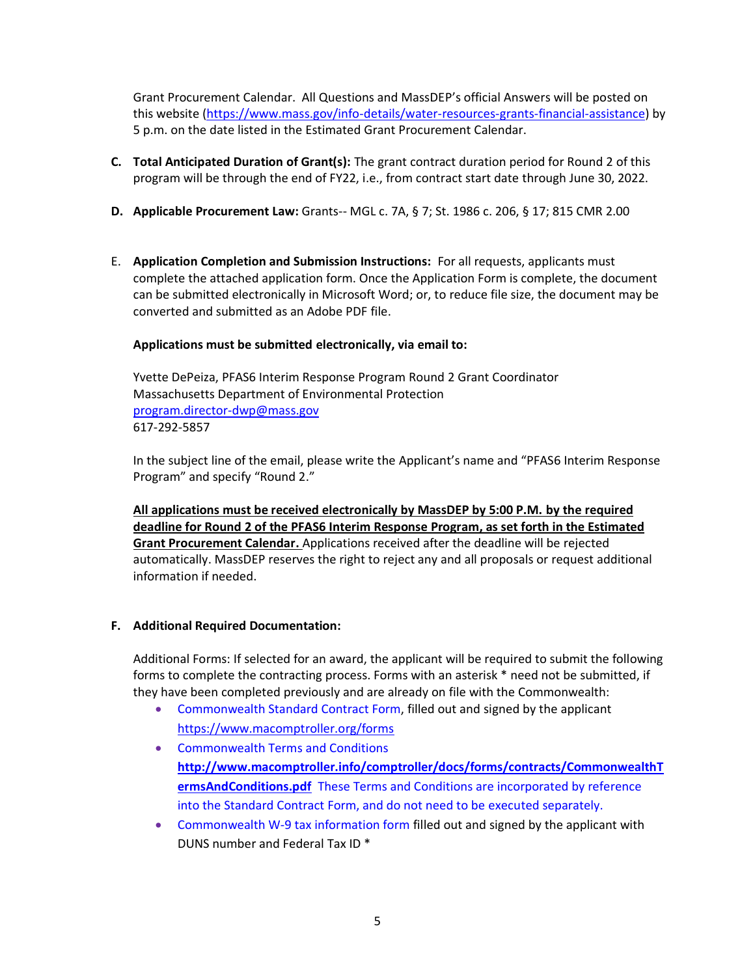Grant Procurement Calendar. All Questions and MassDEP's official Answers will be posted on this website [\(https://www.mass.gov/info-details/water-resources-grants-financial-assistance\)](https://www.mass.gov/info-details/water-resources-grants-financial-assistance) by 5 p.m. on the date listed in the Estimated Grant Procurement Calendar.

- **C. Total Anticipated Duration of Grant(s):** The grant contract duration period for Round 2 of this program will be through the end of FY22, i.e., from contract start date through June 30, 2022.
- **D. Applicable Procurement Law:** Grants-- MGL c. 7A, § 7; St. 1986 c. 206, § 17; 815 CMR 2.00
- E. **Application Completion and Submission Instructions:** For all requests, applicants must complete the attached application form. Once the Application Form is complete, the document can be submitted electronically in Microsoft Word; or, to reduce file size, the document may be converted and submitted as an Adobe PDF file.

#### **Applications must be submitted electronically, via email to:**

Yvette DePeiza, PFAS6 Interim Response Program Round 2 Grant Coordinator Massachusetts Department of Environmental Protection [program.director-dwp@mass.gov](mailto:program.director-dwp@mass.gov) 617-292-5857

In the subject line of the email, please write the Applicant's name and "PFAS6 Interim Response Program" and specify "Round 2."

**All applications must be received electronically by MassDEP by 5:00 P.M. by the required deadline for Round 2 of the PFAS6 Interim Response Program, as set forth in the Estimated Grant Procurement Calendar.** Applications received after the deadline will be rejected automatically. MassDEP reserves the right to reject any and all proposals or request additional information if needed.

#### **F. Additional Required Documentation:**

Additional Forms: If selected for an award, the applicant will be required to submit the following forms to complete the contracting process. Forms with an asterisk \* need not be submitted, if they have been completed previously and are already on file with the Commonwealth:

- Commonwealth Standard Contract Form, filled out and signed by the applicant <https://www.macomptroller.org/forms>
- Commonwealth Terms and Conditions **[http://www.macomptroller.info/comptroller/docs/forms/contracts/CommonwealthT](http://www.macomptroller.info/comptroller/docs/forms/contracts/CommonwealthTermsAndConditions.pdf) [ermsAndConditions.pdf](http://www.macomptroller.info/comptroller/docs/forms/contracts/CommonwealthTermsAndConditions.pdf)** These Terms and Conditions are incorporated by reference into the Standard Contract Form, and do not need to be executed separately.
- Commonwealth W-9 tax information form filled out and signed by the applicant with DUNS number and Federal Tax ID \*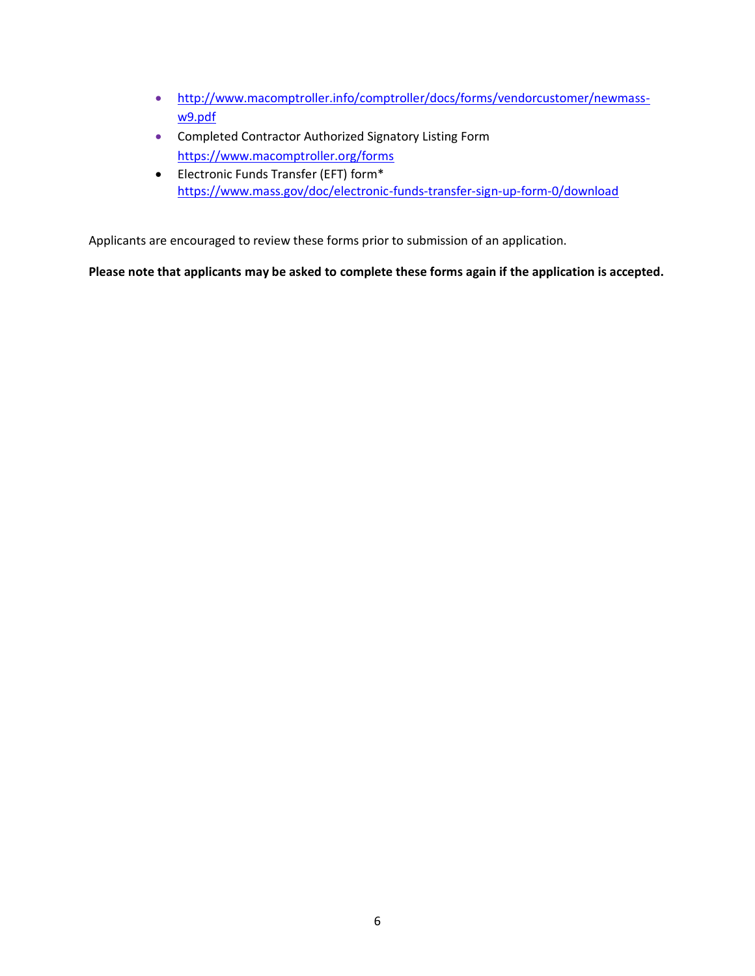- [http://www.macomptroller.info/comptroller/docs/forms/vendorcustomer/newmass](http://www.macomptroller.info/comptroller/docs/forms/vendorcustomer/newmass-w9.pdf)[w9.pdf](http://www.macomptroller.info/comptroller/docs/forms/vendorcustomer/newmass-w9.pdf)
- Completed Contractor Authorized Signatory Listing Form <https://www.macomptroller.org/forms>
- Electronic Funds Transfer (EFT) form\* <https://www.mass.gov/doc/electronic-funds-transfer-sign-up-form-0/download>

Applicants are encouraged to review these forms prior to submission of an application.

**Please note that applicants may be asked to complete these forms again if the application is accepted.**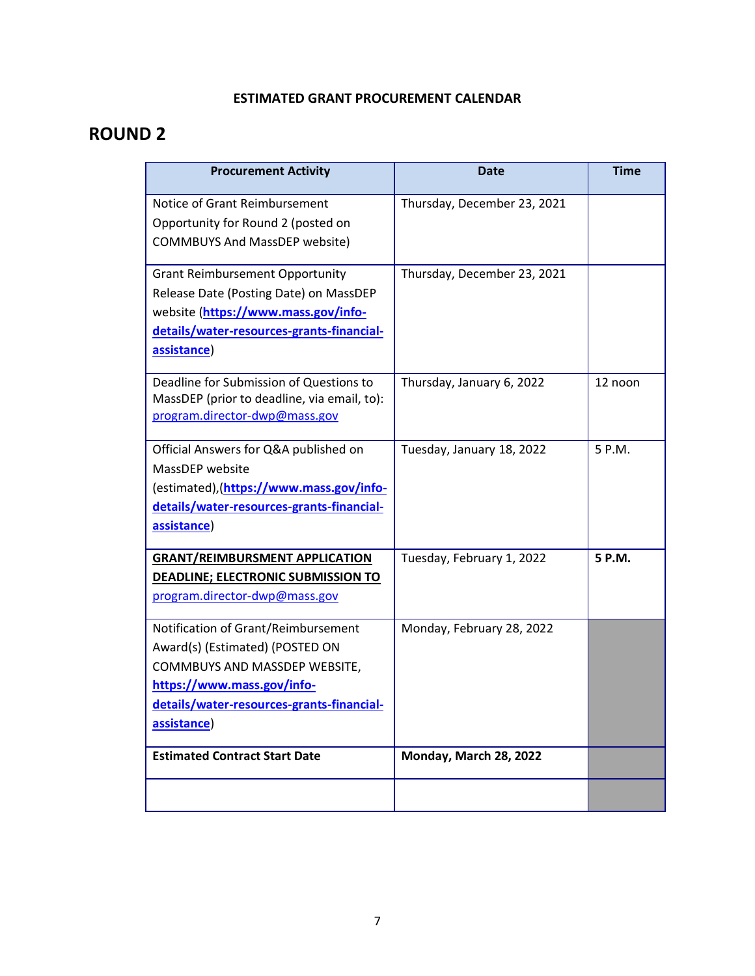# **ESTIMATED GRANT PROCUREMENT CALENDAR**

# **ROUND 2**

| <b>Procurement Activity</b>                                                                                                                                                                       | <b>Date</b>                 | <b>Time</b> |
|---------------------------------------------------------------------------------------------------------------------------------------------------------------------------------------------------|-----------------------------|-------------|
| Notice of Grant Reimbursement<br>Opportunity for Round 2 (posted on<br><b>COMMBUYS And MassDEP website)</b>                                                                                       | Thursday, December 23, 2021 |             |
| <b>Grant Reimbursement Opportunity</b><br>Release Date (Posting Date) on MassDEP<br>website (https://www.mass.gov/info-<br>details/water-resources-grants-financial-<br>assistance)               | Thursday, December 23, 2021 |             |
| Deadline for Submission of Questions to<br>MassDEP (prior to deadline, via email, to):<br>program.director-dwp@mass.gov                                                                           | Thursday, January 6, 2022   | 12 noon     |
| Official Answers for Q&A published on<br>MassDEP website<br>(estimated), (https://www.mass.gov/info-<br>details/water-resources-grants-financial-<br>assistance)                                  | Tuesday, January 18, 2022   | 5 P.M.      |
| <b>GRANT/REIMBURSMENT APPLICATION</b><br>DEADLINE; ELECTRONIC SUBMISSION TO<br>program.director-dwp@mass.gov                                                                                      | Tuesday, February 1, 2022   | 5 P.M.      |
| Notification of Grant/Reimbursement<br>Award(s) (Estimated) (POSTED ON<br>COMMBUYS AND MASSDEP WEBSITE,<br>https://www.mass.gov/info-<br>details/water-resources-grants-financial-<br>assistance) | Monday, February 28, 2022   |             |
| <b>Estimated Contract Start Date</b>                                                                                                                                                              | Monday, March 28, 2022      |             |
|                                                                                                                                                                                                   |                             |             |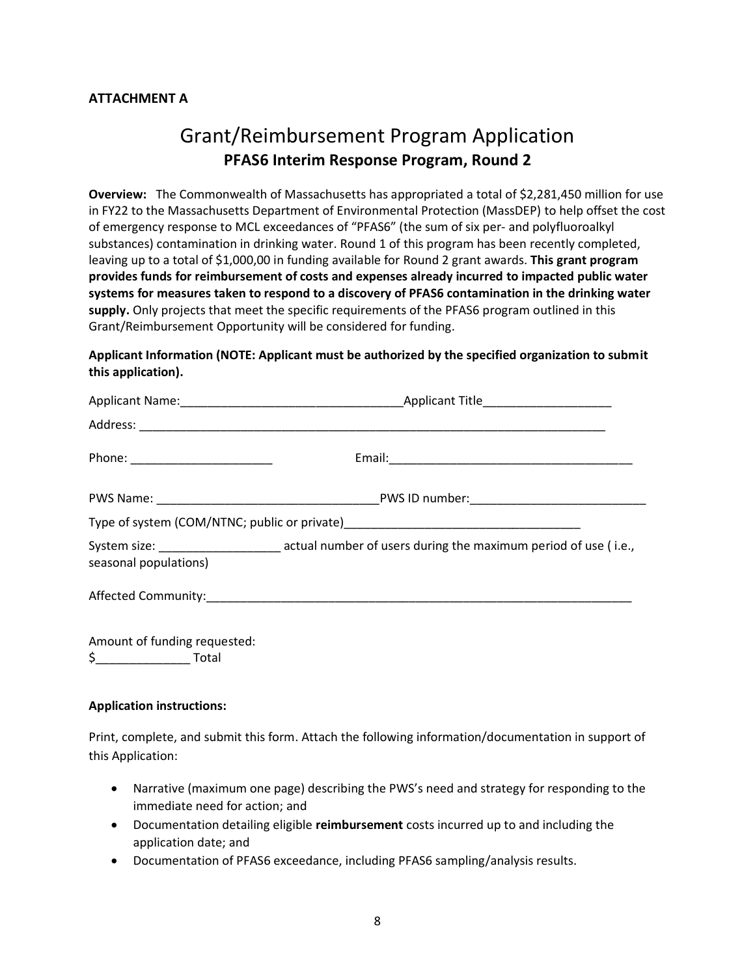### **ATTACHMENT A**

# Grant/Reimbursement Program Application **PFAS6 Interim Response Program, Round 2**

**Overview:** The Commonwealth of Massachusetts has appropriated a total of \$2,281,450 million for use in FY22 to the Massachusetts Department of Environmental Protection (MassDEP) to help offset the cost of emergency response to MCL exceedances of "PFAS6" (the sum of six per- and polyfluoroalkyl substances) contamination in drinking water. Round 1 of this program has been recently completed, leaving up to a total of \$1,000,00 in funding available for Round 2 grant awards. **This grant program provides funds for reimbursement of costs and expenses already incurred to impacted public water systems for measures taken to respond to a discovery of PFAS6 contamination in the drinking water supply.** Only projects that meet the specific requirements of the PFAS6 program outlined in this Grant/Reimbursement Opportunity will be considered for funding.

#### **Applicant Information (NOTE: Applicant must be authorized by the specified organization to submit this application).**

| seasonal populations)                                                                                                                                                                                                                                                                                                                                              | System size: _______________________ actual number of users during the maximum period of use (i.e., |
|--------------------------------------------------------------------------------------------------------------------------------------------------------------------------------------------------------------------------------------------------------------------------------------------------------------------------------------------------------------------|-----------------------------------------------------------------------------------------------------|
|                                                                                                                                                                                                                                                                                                                                                                    |                                                                                                     |
| Amount of funding requested:<br>$\overline{a}$ and $\overline{a}$ and $\overline{a}$ and $\overline{a}$ and $\overline{a}$ and $\overline{a}$ and $\overline{a}$ and $\overline{a}$ and $\overline{a}$ and $\overline{a}$ and $\overline{a}$ and $\overline{a}$ and $\overline{a}$ and $\overline{a}$ and $\overline{a}$ and $\overline{a}$ and $\overline{a}$ and |                                                                                                     |

\$\_\_\_\_\_\_\_\_\_\_\_\_\_\_ Total

#### **Application instructions:**

Print, complete, and submit this form. Attach the following information/documentation in support of this Application:

- Narrative (maximum one page) describing the PWS's need and strategy for responding to the immediate need for action; and
- Documentation detailing eligible **reimbursement** costs incurred up to and including the application date; and
- Documentation of PFAS6 exceedance, including PFAS6 sampling/analysis results.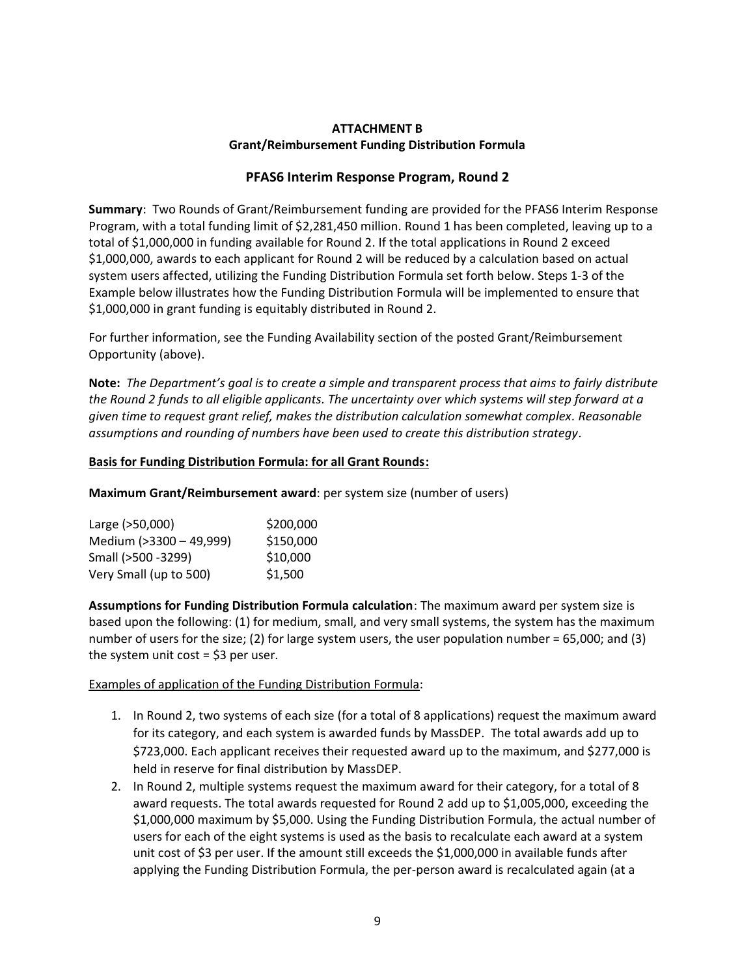#### **ATTACHMENT B Grant/Reimbursement Funding Distribution Formula**

### **PFAS6 Interim Response Program, Round 2**

**Summary**: Two Rounds of Grant/Reimbursement funding are provided for the PFAS6 Interim Response Program, with a total funding limit of \$2,281,450 million. Round 1 has been completed, leaving up to a total of \$1,000,000 in funding available for Round 2. If the total applications in Round 2 exceed \$1,000,000, awards to each applicant for Round 2 will be reduced by a calculation based on actual system users affected, utilizing the Funding Distribution Formula set forth below. Steps 1-3 of the Example below illustrates how the Funding Distribution Formula will be implemented to ensure that \$1,000,000 in grant funding is equitably distributed in Round 2.

For further information, see the Funding Availability section of the posted Grant/Reimbursement Opportunity (above).

**Note:** *The Department's goal is to create a simple and transparent process that aims to fairly distribute the Round 2 funds to all eligible applicants. The uncertainty over which systems will step forward at a given time to request grant relief, makes the distribution calculation somewhat complex. Reasonable assumptions and rounding of numbers have been used to create this distribution strategy.* 

#### **Basis for Funding Distribution Formula: for all Grant Rounds:**

**Maximum Grant/Reimbursement award**: per system size (number of users)

| Large (>50,000)         | \$200,000 |
|-------------------------|-----------|
| Medium (>3300 - 49,999) | \$150,000 |
| Small (>500 -3299)      | \$10,000  |
| Very Small (up to 500)  | \$1,500   |

**Assumptions for Funding Distribution Formula calculation**: The maximum award per system size is based upon the following: (1) for medium, small, and very small systems, the system has the maximum number of users for the size; (2) for large system users, the user population number = 65,000; and (3) the system unit cost  $=$  \$3 per user.

#### Examples of application of the Funding Distribution Formula:

- 1. In Round 2, two systems of each size (for a total of 8 applications) request the maximum award for its category, and each system is awarded funds by MassDEP. The total awards add up to \$723,000. Each applicant receives their requested award up to the maximum, and \$277,000 is held in reserve for final distribution by MassDEP.
- 2. In Round 2, multiple systems request the maximum award for their category, for a total of 8 award requests. The total awards requested for Round 2 add up to \$1,005,000, exceeding the \$1,000,000 maximum by \$5,000. Using the Funding Distribution Formula, the actual number of users for each of the eight systems is used as the basis to recalculate each award at a system unit cost of \$3 per user. If the amount still exceeds the \$1,000,000 in available funds after applying the Funding Distribution Formula, the per-person award is recalculated again (at a